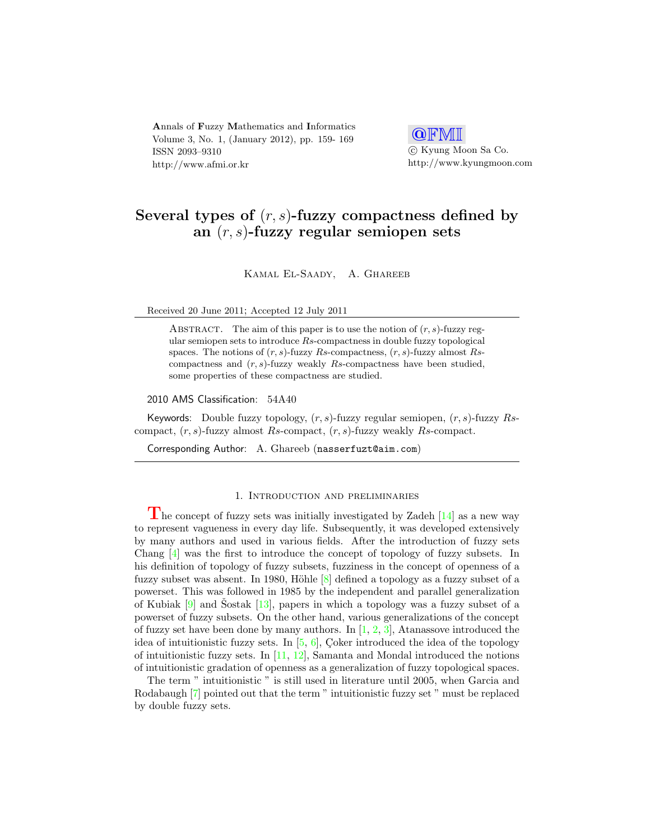Annals of Fuzzy Mathematics and Informatics Volume 3, No. 1, (January 2012), pp. 159- 169 ISSN 2093–9310 http://www.afmi.or.kr

Q**FMI**  c Kyung Moon Sa Co. http://www.kyungmoon.com

## Several types of  $(r, s)$ -fuzzy compactness defined by an  $(r, s)$ -fuzzy regular semiopen sets

Kamal El-Saady, A. Ghareeb

Received 20 June 2011; Accepted 12 July 2011

ABSTRACT. The aim of this paper is to use the notion of  $(r, s)$ -fuzzy regular semiopen sets to introduce  $Rs$ -compactness in double fuzzy topological spaces. The notions of  $(r, s)$ -fuzzy Rs-compactness,  $(r, s)$ -fuzzy almost Rscompactness and  $(r, s)$ -fuzzy weakly Rs-compactness have been studied, some properties of these compactness are studied.

2010 AMS Classification: 54A40

Keywords: Double fuzzy topology,  $(r, s)$ -fuzzy regular semiopen,  $(r, s)$ -fuzzy Rscompact,  $(r, s)$ -fuzzy almost Rs-compact,  $(r, s)$ -fuzzy weakly Rs-compact.

Corresponding Author: A. Ghareeb (nasserfuzt@aim.com)

## 1. Introduction and preliminaries

The concept of fuzzy sets was initially investigated by Zadeh  $[14]$  as a new way to represent vagueness in every day life. Subsequently, it was developed extensively by many authors and used in various fields. After the introduction of fuzzy sets Chang [\[4\]](#page-10-1) was the first to introduce the concept of topology of fuzzy subsets. In his definition of topology of fuzzy subsets, fuzziness in the concept of openness of a fuzzy subset was absent. In 1980, Höhle  $[8]$  defined a topology as a fuzzy subset of a powerset. This was followed in 1985 by the independent and parallel generalization of Kubiak  $[9]$  and Sostak  $[13]$  $[13]$ , papers in which a topology was a fuzzy subset of a powerset of fuzzy subsets. On the other hand, various generalizations of the concept of fuzzy set have been done by many authors. In  $[1, 2, 3]$  $[1, 2, 3]$  $[1, 2, 3]$  $[1, 2, 3]$  $[1, 2, 3]$ , Atanassove introduced the idea of intuitionistic fuzzy sets. In  $[5, 6]$  $[5, 6]$  $[5, 6]$ , Coker introduced the idea of the topology of intuitionistic fuzzy sets. In  $[11, 12]$  $[11, 12]$  $[11, 12]$ , Samanta and Mondal introduced the notions of intuitionistic gradation of openness as a generalization of fuzzy topological spaces.

The term " intuitionistic " is still used in literature until 2005, when Garcia and Rodabaugh [\[7\]](#page-10-12) pointed out that the term " intuitionistic fuzzy set " must be replaced by double fuzzy sets.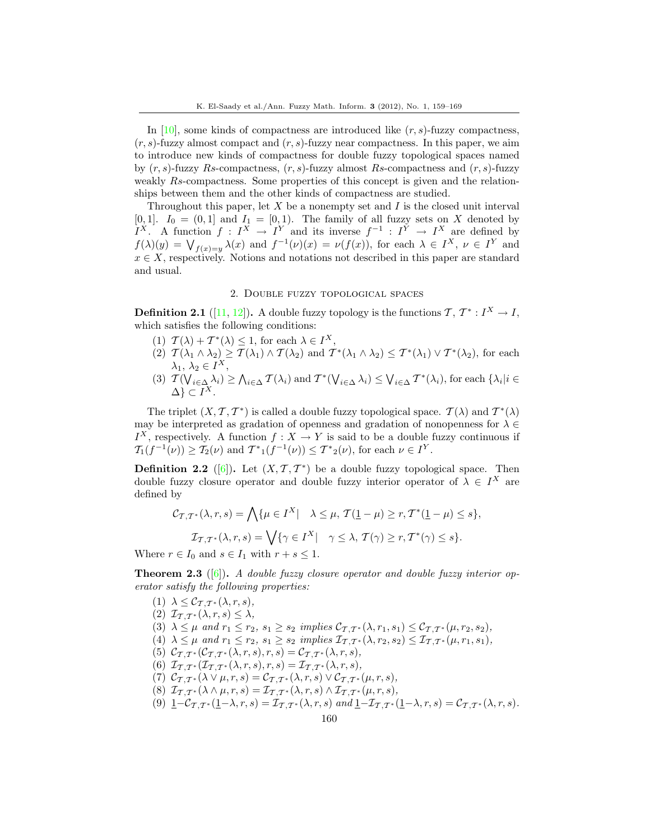In [\[10\]](#page-10-13), some kinds of compactness are introduced like  $(r, s)$ -fuzzy compactness,  $(r, s)$ -fuzzy almost compact and  $(r, s)$ -fuzzy near compactness. In this paper, we aim to introduce new kinds of compactness for double fuzzy topological spaces named by  $(r, s)$ -fuzzy Rs-compactness,  $(r, s)$ -fuzzy almost Rs-compactness and  $(r, s)$ -fuzzy weakly Rs-compactness. Some properties of this concept is given and the relationships between them and the other kinds of compactness are studied.

Throughout this paper, let  $X$  be a nonempty set and  $I$  is the closed unit interval [0, 1].  $I_0 = (0, 1]$  and  $I_1 = [0, 1]$ . The family of all fuzzy sets on X denoted by  $I^X$ . A function  $f: I^X \to I^Y$  and its inverse  $f^{-1}: I^Y \to I^X$  are defined by  $f(\lambda)(y) = \bigvee_{f(x)=y} \lambda(x)$  and  $f^{-1}(\nu)(x) = \nu(f(x))$ , for each  $\lambda \in I^X$ ,  $\nu \in I^Y$  and  $x \in X$ , respectively. Notions and notations not described in this paper are standard and usual.

## 2. Double fuzzy topological spaces

**Definition 2.1** ([\[11,](#page-10-10) [12\]](#page-10-11)). A double fuzzy topology is the functions  $\mathcal{T}, \mathcal{T}^* : I^X \to I$ , which satisfies the following conditions:

- (1)  $\mathcal{T}(\lambda) + \mathcal{T}^*(\lambda) \leq 1$ , for each  $\lambda \in I^X$ ,
- (2)  $\mathcal{T}(\lambda_1 \wedge \lambda_2) \geq \mathcal{T}(\lambda_1) \wedge \mathcal{T}(\lambda_2)$  and  $\mathcal{T}^*(\lambda_1 \wedge \lambda_2) \leq \mathcal{T}^*(\lambda_1) \vee \mathcal{T}^*(\lambda_2)$ , for each  $\lambda_1, \lambda_2 \in I^X$ ,
- (3)  $\mathcal{T}(\bigvee_{i\in\Delta}\lambda_i)\geq\bigwedge_{i\in\Delta}\mathcal{T}(\lambda_i)$  and  $\mathcal{T}^*(\bigvee_{i\in\Delta}\lambda_i)\leq\bigvee_{i\in\Delta}\mathcal{T}^*(\lambda_i)$ , for each  $\{\lambda_i|i\in\Delta\}$  $\Delta$ }  $\subset I^X$ .

The triplet  $(X, \mathcal{T}, \mathcal{T}^*)$  is called a double fuzzy topological space.  $\mathcal{T}(\lambda)$  and  $\mathcal{T}^*(\lambda)$ may be interpreted as gradation of openness and gradation of nonopenness for  $\lambda \in$  $I^X$ , respectively. A function  $f: X \to Y$  is said to be a double fuzzy continuous if  $T_1(f^{-1}(\nu)) \geq T_2(\nu)$  and  $T^*_{1}(f^{-1}(\nu)) \leq T^*_{2}(\nu)$ , for each  $\nu \in I^Y$ .

**Definition 2.2** ([\[6\]](#page-10-9)). Let  $(X, \mathcal{T}, \mathcal{T}^*)$  be a double fuzzy topological space. Then double fuzzy closure operator and double fuzzy interior operator of  $\lambda \in I^X$  are defined by

$$
\mathcal{C}_{\mathcal{T},\mathcal{T}^*}(\lambda,r,s) = \bigwedge \{ \mu \in I^X \mid \lambda \le \mu, \mathcal{T}(\underline{1} - \mu) \ge r, \mathcal{T}^*(\underline{1} - \mu) \le s \},
$$

$$
\mathcal{I}_{\mathcal{T},\mathcal{T}^*}(\lambda,r,s) = \bigvee \{ \gamma \in I^X \mid \gamma \le \lambda, \mathcal{T}(\gamma) \ge r, \mathcal{T}^*(\gamma) \le s \}.
$$

Where  $r \in I_0$  and  $s \in I_1$  with  $r + s \leq 1$ .

**Theorem 2.3** ([\[6\]](#page-10-9)). A double fuzzy closure operator and double fuzzy interior operator satisfy the following properties:

(1)  $\lambda \leq \mathcal{C}_{\mathcal{T},\mathcal{T}^*}(\lambda,r,s),$ (2)  $\mathcal{I}_{\mathcal{T},\mathcal{T}^*}(\lambda,r,s) \leq \lambda$ , (3)  $\lambda \leq \mu$  and  $r_1 \leq r_2$ ,  $s_1 \geq s_2$  implies  $\mathcal{C}_{\mathcal{T},\mathcal{T}^*}(\lambda,r_1,s_1) \leq \mathcal{C}_{\mathcal{T},\mathcal{T}^*}(\mu,r_2,s_2)$ , (4)  $\lambda \leq \mu$  and  $r_1 \leq r_2$ ,  $s_1 \geq s_2$  implies  $\mathcal{I}_{\mathcal{T},\mathcal{T}}*(\lambda,r_2,s_2) \leq \mathcal{I}_{\mathcal{T},\mathcal{T}}*(\mu,r_1,s_1)$ , (5)  $\mathcal{C}_{\mathcal{T},\mathcal{T}^*}(\mathcal{C}_{\mathcal{T},\mathcal{T}^*}(\lambda,r,s),r,s)=\mathcal{C}_{\mathcal{T},\mathcal{T}^*}(\lambda,r,s),$ (6)  $\mathcal{I}_{\mathcal{T},\mathcal{T}^*}(\mathcal{I}_{\mathcal{T},\mathcal{T}^*}(\lambda,r,s),r,s)=\mathcal{I}_{\mathcal{T},\mathcal{T}^*}(\lambda,r,s),$ (7)  $\mathcal{C}_{\mathcal{T},\mathcal{T}^*}(\lambda \vee \mu,r,s) = \mathcal{C}_{\mathcal{T},\mathcal{T}^*}(\lambda,r,s) \vee \mathcal{C}_{\mathcal{T},\mathcal{T}^*}(\mu,r,s),$ (8)  $\mathcal{I}_{\mathcal{T},\mathcal{T}^*}(\lambda \wedge \mu,r,s) = \mathcal{I}_{\mathcal{T},\mathcal{T}^*}(\lambda,r,s) \wedge \mathcal{I}_{\mathcal{T},\mathcal{T}^*}(\mu,r,s),$ (9)  $\underline{1}-\mathcal{C}_{\mathcal{T},\mathcal{T}^*}(\underline{1}-\lambda,r,s)=\mathcal{I}_{\mathcal{T},\mathcal{T}^*}(\lambda,r,s)$  and  $\underline{1}-\mathcal{I}_{\mathcal{T},\mathcal{T}^*}(\underline{1}-\lambda,r,s)=\mathcal{C}_{\mathcal{T},\mathcal{T}^*}(\lambda,r,s).$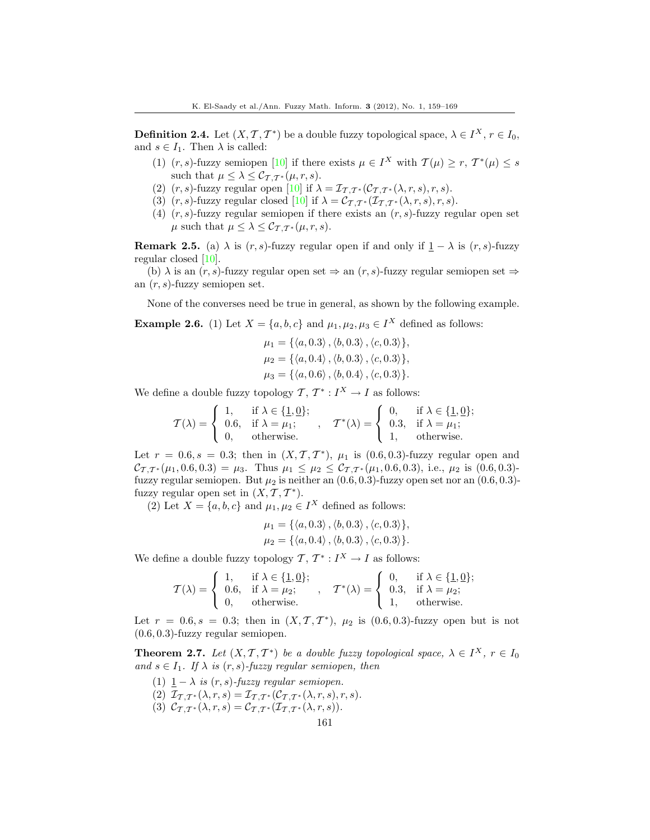**Definition 2.4.** Let  $(X, \mathcal{T}, \mathcal{T}^*)$  be a double fuzzy topological space,  $\lambda \in I^X$ ,  $r \in I_0$ , and  $s \in I_1$ . Then  $\lambda$  is called:

- (1)  $(r, s)$ -fuzzy semiopen [\[10\]](#page-10-13) if there exists  $\mu \in I^X$  with  $\mathcal{T}(\mu) \geq r$ ,  $\mathcal{T}^*(\mu) \leq s$ such that  $\mu \leq \lambda \leq \mathcal{C}_{\mathcal{T},\mathcal{T}^*}(\mu,r,s)$ .
- (2)  $(r, s)$ -fuzzy regular open  $[10]$  if  $\lambda = \mathcal{I}_{\mathcal{T}, \mathcal{T}}*(\mathcal{C}_{\mathcal{T}, \mathcal{T}}*(\lambda, r, s), r, s).$
- (3)  $(r, s)$ -fuzzy regular closed [\[10\]](#page-10-13) if  $\lambda = \mathcal{C}_{\mathcal{T}, \mathcal{T}^*}(\mathcal{I}_{\mathcal{T}, \mathcal{T}^*}(\lambda, r, s), r, s)$ .
- (4)  $(r, s)$ -fuzzy regular semiopen if there exists an  $(r, s)$ -fuzzy regular open set  $\mu$  such that  $\mu \leq \lambda \leq \mathcal{C}_{\mathcal{T},\mathcal{T}^*}(\mu,r,s)$ .

**Remark 2.5.** (a)  $\lambda$  is  $(r, s)$ -fuzzy regular open if and only if  $1 - \lambda$  is  $(r, s)$ -fuzzy regular closed [\[10\]](#page-10-13).

(b)  $\lambda$  is an  $(r, s)$ -fuzzy regular open set  $\Rightarrow$  an  $(r, s)$ -fuzzy regular semiopen set  $\Rightarrow$ an  $(r, s)$ -fuzzy semiopen set.

None of the converses need be true in general, as shown by the following example.

**Example 2.6.** (1) Let  $X = \{a, b, c\}$  and  $\mu_1, \mu_2, \mu_3 \in I^X$  defined as follows:

$$
\mu_1 = \{ \langle a, 0.3 \rangle, \langle b, 0.3 \rangle, \langle c, 0.3 \rangle \}, \n\mu_2 = \{ \langle a, 0.4 \rangle, \langle b, 0.3 \rangle, \langle c, 0.3 \rangle \}, \n\mu_3 = \{ \langle a, 0.6 \rangle, \langle b, 0.4 \rangle, \langle c, 0.3 \rangle \}.
$$

We define a double fuzzy topology  $\mathcal{T}, \mathcal{T}^* : I^X \to I$  as follows:

$$
\mathcal{T}(\lambda) = \begin{cases} 1, & \text{if } \lambda \in \{1, 0\}; \\ 0.6, & \text{if } \lambda = \mu_1; \\ 0, & \text{otherwise.} \end{cases}, \quad \mathcal{T}^*(\lambda) = \begin{cases} 0, & \text{if } \lambda \in \{1, 0\}; \\ 0.3, & \text{if } \lambda = \mu_1; \\ 1, & \text{otherwise.} \end{cases}
$$

Let  $r = 0.6, s = 0.3$ ; then in  $(X, \mathcal{T}, \mathcal{T}^*)$ ,  $\mu_1$  is  $(0.6, 0.3)$ -fuzzy regular open and  $\mathcal{C}_{\mathcal{T},\mathcal{T}}*(\mu_1, 0.6, 0.3) = \mu_3$ . Thus  $\mu_1 \leq \mu_2 \leq \mathcal{C}_{\mathcal{T},\mathcal{T}}*(\mu_1, 0.6, 0.3)$ , i.e.,  $\mu_2$  is  $(0.6, 0.3)$ fuzzy regular semiopen. But  $\mu_2$  is neither an  $(0.6, 0.3)$ -fuzzy open set nor an  $(0.6, 0.3)$ fuzzy regular open set in  $(X, \mathcal{T}, \mathcal{T}^*)$ .

(2) Let  $X = \{a, b, c\}$  and  $\mu_1, \mu_2 \in I^X$  defined as follows:

$$
\mu_1 = \{ \langle a, 0.3 \rangle, \langle b, 0.3 \rangle, \langle c, 0.3 \rangle \},
$$
  

$$
\mu_2 = \{ \langle a, 0.4 \rangle, \langle b, 0.3 \rangle, \langle c, 0.3 \rangle \}.
$$

We define a double fuzzy topology  $\mathcal{T}, \mathcal{T}^* : I^X \to I$  as follows:

$$
\mathcal{T}(\lambda) = \begin{cases} 1, & \text{if } \lambda \in \{1, 0\}; \\ 0.6, & \text{if } \lambda = \mu_2; \\ 0, & \text{otherwise.} \end{cases}, \quad \mathcal{T}^*(\lambda) = \begin{cases} 0, & \text{if } \lambda \in \{1, 0\}; \\ 0.3, & \text{if } \lambda = \mu_2; \\ 1, & \text{otherwise.} \end{cases}
$$

Let  $r = 0.6, s = 0.3$ ; then in  $(X, \mathcal{T}, \mathcal{T}^*)$ ,  $\mu_2$  is  $(0.6, 0.3)$ -fuzzy open but is not (0.6, 0.3)-fuzzy regular semiopen.

<span id="page-2-0"></span>**Theorem 2.7.** Let  $(X, \mathcal{T}, \mathcal{T}^*)$  be a double fuzzy topological space,  $\lambda \in I^X$ ,  $r \in I_0$ and  $s \in I_1$ . If  $\lambda$  is  $(r, s)$ -fuzzy regular semiopen, then

(1)  $1 - \lambda$  is  $(r, s)$ -fuzzy regular semiopen. (2)  $\mathcal{I}_{\mathcal{T},\mathcal{T}^*}(\lambda,r,s) = \mathcal{I}_{\mathcal{T},\mathcal{T}^*}(\mathcal{C}_{\mathcal{T},\mathcal{T}^*}(\lambda,r,s),r,s).$ (3)  $\mathcal{C}_{\mathcal{T},\mathcal{T}^*}(\lambda,r,s) = \mathcal{C}_{\mathcal{T},\mathcal{T}^*}(\mathcal{I}_{\mathcal{T},\mathcal{T}^*}(\lambda,r,s)).$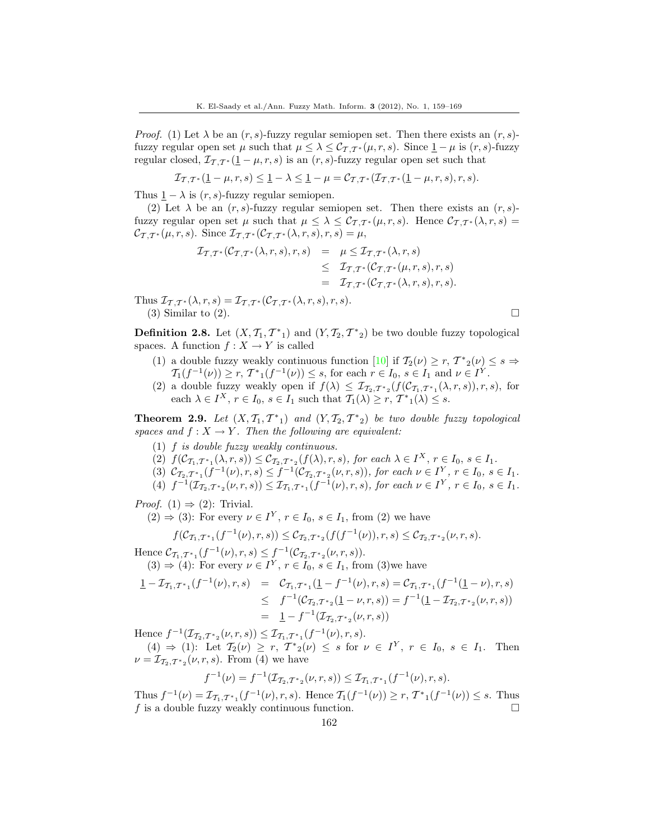*Proof.* (1) Let  $\lambda$  be an  $(r, s)$ -fuzzy regular semiopen set. Then there exists an  $(r, s)$ fuzzy regular open set  $\mu$  such that  $\mu \leq \lambda \leq C_{\mathcal{T},\mathcal{T}^*}(\mu,r,s)$ . Since  $1-\mu$  is  $(r,s)$ -fuzzy regular closed,  $\mathcal{I}_{\mathcal{T},\mathcal{T}^*}(\mathbf{1}-\mu,r,s)$  is an  $(r,s)$ -fuzzy regular open set such that

$$
\mathcal{I}_{\mathcal{T},\mathcal{T}^*}(\underline{1}-\mu,r,s) \le \underline{1}-\lambda \le \underline{1}-\mu = \mathcal{C}_{\mathcal{T},\mathcal{T}^*}(\mathcal{I}_{\mathcal{T},\mathcal{T}^*}(\underline{1}-\mu,r,s),r,s).
$$

Thus  $1 - \lambda$  is  $(r, s)$ -fuzzy regular semiopen.

(2) Let  $\lambda$  be an  $(r, s)$ -fuzzy regular semiopen set. Then there exists an  $(r, s)$ fuzzy regular open set  $\mu$  such that  $\mu \leq \lambda \leq C_{\mathcal{T},\mathcal{T}^*}(\mu,r,s)$ . Hence  $\mathcal{C}_{\mathcal{T},\mathcal{T}^*}(\lambda,r,s)$  $\mathcal{C}_{\mathcal{T},\mathcal{T}}*(\mu,r,s)$ . Since  $\mathcal{I}_{\mathcal{T},\mathcal{T}}*(\mathcal{C}_{\mathcal{T},\mathcal{T}}*(\lambda,r,s),r,s)=\mu,$ 

$$
\mathcal{I}_{\mathcal{T},\mathcal{T}^*}(\mathcal{C}_{\mathcal{T},\mathcal{T}^*}(\lambda,r,s),r,s) = \mu \leq \mathcal{I}_{\mathcal{T},\mathcal{T}^*}(\lambda,r,s)
$$
  

$$
\leq \mathcal{I}_{\mathcal{T},\mathcal{T}^*}(\mathcal{C}_{\mathcal{T},\mathcal{T}^*}(\mu,r,s),r,s)
$$
  

$$
= \mathcal{I}_{\mathcal{T},\mathcal{T}^*}(\mathcal{C}_{\mathcal{T},\mathcal{T}^*}(\lambda,r,s),r,s).
$$

Thus  $\mathcal{I}_{\mathcal{T},\mathcal{T}^*}(\lambda,r,s)=\mathcal{I}_{\mathcal{T},\mathcal{T}^*}(\mathcal{C}_{\mathcal{T},\mathcal{T}^*}(\lambda,r,s),r,s).$ (3) Similar to (2).  $\Box$ 

**Definition 2.8.** Let  $(X, \mathcal{T}_1, \mathcal{T}^*_{1})$  and  $(Y, \mathcal{T}_2, \mathcal{T}^*_{2})$  be two double fuzzy topological spaces. A function  $f: X \to Y$  is called

- (1) a double fuzzy weakly continuous function [\[10\]](#page-10-13) if  $\mathcal{T}_2(\nu) \ge r$ ,  $\mathcal{T}^*_{2}(\nu) \le s \Rightarrow$  $T_1(f^{-1}(\nu)) \ge r$ ,  $T^*_{1}(f^{-1}(\nu)) \le s$ , for each  $r \in I_0$ ,  $s \in I_1$  and  $\nu \in I^Y$ .
- (2) a double fuzzy weakly open if  $f(\lambda) \leq \mathcal{I}_{\mathcal{I}_2,\mathcal{T}^*_{2}}(f(\mathcal{C}_{\mathcal{I}_1,\mathcal{T}^*_{1}}(\lambda,r,s)),r,s)$ , for each  $\lambda \in I^X$ ,  $r \in I_0$ ,  $s \in I_1$  such that  $\mathcal{T}_1(\lambda) \geq r$ ,  $\mathcal{T}^*_{1}(\lambda) \leq s$ .

**Theorem 2.9.** Let  $(X, \mathcal{T}_1, \mathcal{T}^*_{1})$  and  $(Y, \mathcal{T}_2, \mathcal{T}^*_{2})$  be two double fuzzy topological spaces and  $f: X \to Y$ . Then the following are equivalent:

- (1) f is double fuzzy weakly continuous.
- (2)  $f(\mathcal{C}_{\mathcal{T}_1,\mathcal{T}^*1}(\lambda,r,s)) \leq \mathcal{C}_{\mathcal{T}_2,\mathcal{T}^*2}(f(\lambda),r,s)$ , for each  $\lambda \in I^X$ ,  $r \in I_0$ ,  $s \in I_1$ .
- (3)  $\mathcal{C}_{\mathcal{T}_2,\mathcal{T}^*_{1}}(f^{-1}(\nu),r,s) \leq f^{-1}(\mathcal{C}_{\mathcal{T}_2,\mathcal{T}^*_{2}}(\nu,r,s)),$  for each  $\nu \in I^Y$ ,  $r \in I_0$ ,  $s \in I_1$ .
- (4)  $f^{-1}(\mathcal{I}_{\mathcal{T}_2,\mathcal{T}^*_{2}}(\nu,r,s)) \leq \mathcal{I}_{\mathcal{T}_1,\mathcal{T}^*_{1}}(f^{-1}(\nu),r,s)$ , for each  $\nu \in I^Y$ ,  $r \in I_0$ ,  $s \in I_1$ .

*Proof.* (1)  $\Rightarrow$  (2): Trivial.

 $(2) \Rightarrow (3)$ : For every  $\nu \in I^Y$ ,  $r \in I_0$ ,  $s \in I_1$ , from  $(2)$  we have

$$
f(\mathcal{C}_{\mathcal{T}_1,\mathcal{T}^*_{1}}(f^{-1}(\nu),r,s)) \leq \mathcal{C}_{\mathcal{T}_2,\mathcal{T}^*_{2}}(f(f^{-1}(\nu)),r,s) \leq \mathcal{C}_{\mathcal{T}_2,\mathcal{T}^*_{2}}(\nu,r,s).
$$

Hence  $\mathcal{C}_{\mathcal{T}_1,\mathcal{T}^*_{1}}(f^{-1}(\nu),r,s) \leq f^{-1}(\mathcal{C}_{\mathcal{T}_2,\mathcal{T}^*_{2}}(\nu,r,s)).$  $(3) \Rightarrow (4)$ : For every  $\nu \in I^Y$ ,  $r \in I_0$ ,  $s \in I_1$ , from  $(3)$ we have

$$
\begin{array}{rcl}\n\mathbf{1} - \mathcal{I}_{\mathcal{T}_1, \mathcal{T}^*_{1}}(f^{-1}(\nu), r, s) & = & \mathcal{C}_{\mathcal{T}_1, \mathcal{T}^*_{1}}(\mathbf{1} - f^{-1}(\nu), r, s) = \mathcal{C}_{\mathcal{T}_1, \mathcal{T}^*_{1}}(f^{-1}(\mathbf{1} - \nu), r, s) \\
& \leq & f^{-1}(\mathcal{C}_{\mathcal{T}_2, \mathcal{T}^*_{2}}(\mathbf{1} - \nu, r, s)) = f^{-1}(\mathbf{1} - \mathcal{I}_{\mathcal{T}_2, \mathcal{T}^*_{2}}(\nu, r, s)) \\
& = & \mathbf{1} - f^{-1}(\mathcal{I}_{\mathcal{T}_2, \mathcal{T}^*_{2}}(\nu, r, s))\n\end{array}
$$

Hence  $f^{-1}(\mathcal{I}_{\mathcal{T}_2,\mathcal{T}^*_{2}}(\nu,r,s)) \leq \mathcal{I}_{\mathcal{T}_1,\mathcal{T}^*_{1}}(f^{-1}(\nu),r,s).$ 

 $(4) \Rightarrow (1)$ : Let  $\mathcal{T}_2(\nu) \geq r$ ,  $\mathcal{T}^*_{2}(\nu) \leq s$  for  $\nu \in I^Y$ ,  $r \in I_0$ ,  $s \in I_1$ . Then  $\nu = \mathcal{I}_{\mathcal{T}_2,\mathcal{T}^*_{2}}(\nu,r,s)$ . From (4) we have

$$
f^{-1}(\nu) = f^{-1}(\mathcal{I}_{\mathcal{I}_2, \mathcal{I}^*2}(\nu, r, s)) \leq \mathcal{I}_{\mathcal{I}_1, \mathcal{I}^*1}(f^{-1}(\nu), r, s).
$$

<span id="page-3-0"></span>Thus  $f^{-1}(\nu) = \mathcal{I}_{\mathcal{T}_1,\mathcal{T}_{*1}}(f^{-1}(\nu),r,s)$ . Hence  $\mathcal{T}_1(f^{-1}(\nu)) \ge r$ ,  $\mathcal{T}_{*1}(f^{-1}(\nu)) \le s$ . Thus f is a double fuzzy weakly continuous function.  $\square$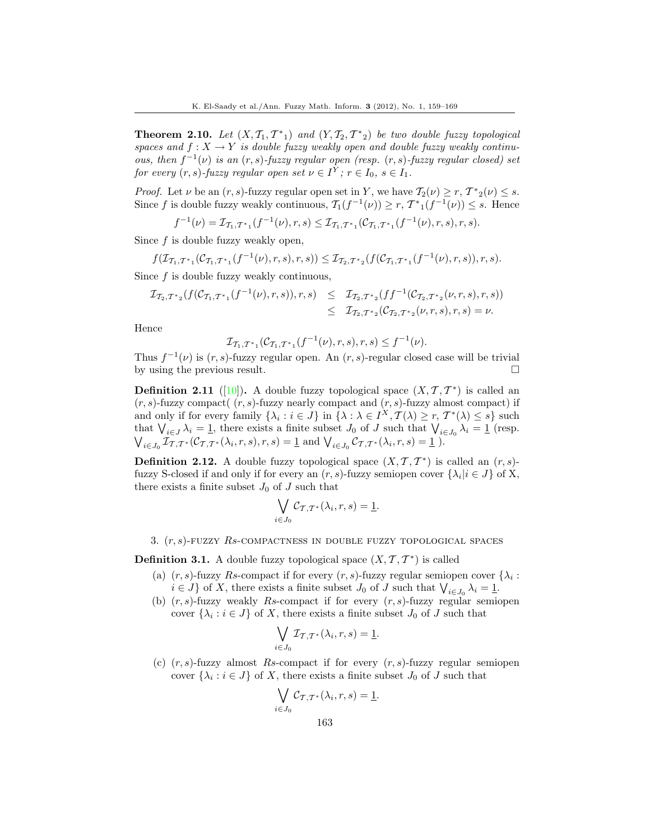**Theorem 2.10.** Let  $(X, \mathcal{T}_1, \mathcal{T}^*_{1})$  and  $(Y, \mathcal{T}_2, \mathcal{T}^*_{2})$  be two double fuzzy topological spaces and  $f: X \to Y$  is double fuzzy weakly open and double fuzzy weakly continuous, then  $f^{-1}(\nu)$  is an  $(r, s)$ -fuzzy regular open (resp.  $(r, s)$ -fuzzy regular closed) set for every  $(r, s)$ -fuzzy regular open set  $\nu \in I^Y$ ;  $r \in I_0$ ,  $s \in I_1$ .

*Proof.* Let  $\nu$  be an  $(r, s)$ -fuzzy regular open set in Y, we have  $\mathcal{T}_2(\nu) \ge r$ ,  $\mathcal{T}^*_{2}(\nu) \le s$ . Since f is double fuzzy weakly continuous,  $\mathcal{T}_1(f^{-1}(\nu)) \ge r$ ,  $\mathcal{T}_{1}(f^{-1}(\nu)) \le s$ . Hence

$$
f^{-1}(\nu)=\mathcal{I}_{\mathcal{T}_1,\mathcal{T}^*_{1}}(f^{-1}(\nu),r,s)\leq \mathcal{I}_{\mathcal{T}_1,\mathcal{T}^*_{1}}(\mathcal{C}_{\mathcal{T}_1,\mathcal{T}^*_{1}}(f^{-1}(\nu),r,s),r,s).
$$

Since  $f$  is double fuzzy weakly open,

$$
f(\mathcal{I}_{\mathcal{T}_1,\mathcal{T}^*1}(\mathcal{C}_{\mathcal{T}_1,\mathcal{T}^*1}(f^{-1}(\nu),r,s),r,s)) \leq \mathcal{I}_{\mathcal{T}_2,\mathcal{T}^*2}(f(\mathcal{C}_{\mathcal{T}_1,\mathcal{T}^*1}(f^{-1}(\nu),r,s)),r,s).
$$

Since f is double fuzzy weakly continuous,

$$
\mathcal{I}_{\mathcal{T}_2,\mathcal{T}^*2}(f(\mathcal{C}_{\mathcal{T}_1,\mathcal{T}^*1}(f^{-1}(\nu),r,s)),r,s) \leq \mathcal{I}_{\mathcal{T}_2,\mathcal{T}^*2}(f f^{-1}(\mathcal{C}_{\mathcal{T}_2,\mathcal{T}^*2}(\nu,r,s),r,s)) \leq \mathcal{I}_{\mathcal{T}_2,\mathcal{T}^*2}(\mathcal{C}_{\mathcal{T}_2,\mathcal{T}^*2}(\nu,r,s),r,s) = \nu.
$$

Hence

$$
\mathcal{I}_{\mathcal{T}_1,\mathcal{T}^*1}(\mathcal{C}_{\mathcal{T}_1,\mathcal{T}^*1}(f^{-1}(\nu),r,s),r,s) \leq f^{-1}(\nu).
$$

Thus  $f^{-1}(\nu)$  is  $(r, s)$ -fuzzy regular open. An  $(r, s)$ -regular closed case will be trivial by using the previous result.

**Definition 2.11** ([\[10\]](#page-10-13)). A double fuzzy topological space  $(X, \mathcal{T}, \mathcal{T}^*)$  is called an  $(r, s)$ -fuzzy compact $((r, s)$ -fuzzy nearly compact and  $(r, s)$ -fuzzy almost compact) if and only if for every family  $\{\lambda_i : i \in J\}$  in  $\{\lambda : \lambda \in I^X, \mathcal{T}(\lambda) \geq r, \mathcal{T}^*(\lambda) \leq s\}$  such that  $\bigvee_{i\in J}\lambda_i=\underline{1}$ , there exists a finite subset  $J_0$  of  $J$  such that  $\bigvee_{i\in J_0}\lambda_i=\underline{1}$  (resp.  $\bigvee_{i \in J_0} \mathcal{I}_{\mathcal{T},\mathcal{T}^*}(\mathcal{C}_{\mathcal{T},\mathcal{T}^*}(\lambda_i,r,s), r, s) = \underline{1} \text{ and } \bigvee_{i \in J_0} \mathcal{C}_{\mathcal{T},\mathcal{T}^*}(\lambda_i,r,s) = \underline{1} \ \text{).}$ 

<span id="page-4-0"></span>**Definition 2.12.** A double fuzzy topological space  $(X, \mathcal{T}, \mathcal{T}^*)$  is called an  $(r, s)$ fuzzy S-closed if and only if for every an  $(r, s)$ -fuzzy semiopen cover  $\{\lambda_i | i \in J\}$  of X, there exists a finite subset  $J_0$  of J such that

$$
\bigvee_{i \in J_0} C_{\mathcal{T}, \mathcal{T}^*}(\lambda_i, r, s) = \underline{1}.
$$

3.  $(r, s)$ -fuzzy  $Rs$ -compactness in double fuzzy topological spaces

**Definition 3.1.** A double fuzzy topological space  $(X, \mathcal{T}, \mathcal{T}^*)$  is called

- (a)  $(r, s)$ -fuzzy Rs-compact if for every  $(r, s)$ -fuzzy regular semiopen cover  $\{\lambda_i :$  $i \in J$  of X, there exists a finite subset  $J_0$  of J such that  $\bigvee_{i \in J_0} \lambda_i = \underline{1}$ .
- (b)  $(r, s)$ -fuzzy weakly Rs-compact if for every  $(r, s)$ -fuzzy regular semiopen cover  $\{\lambda_i : i \in J\}$  of X, there exists a finite subset  $J_0$  of J such that

$$
\bigvee_{i \in J_0} \mathcal{I}_{\mathcal{T}, \mathcal{T}^*}(\lambda_i, r, s) = \underline{1}.
$$

(c)  $(r, s)$ -fuzzy almost Rs-compact if for every  $(r, s)$ -fuzzy regular semiopen cover  $\{\lambda_i : i \in J\}$  of X, there exists a finite subset  $J_0$  of J such that

$$
\bigvee_{i \in J_0} C_{\mathcal{T}, \mathcal{T}^*}(\lambda_i, r, s) = \underline{1}.
$$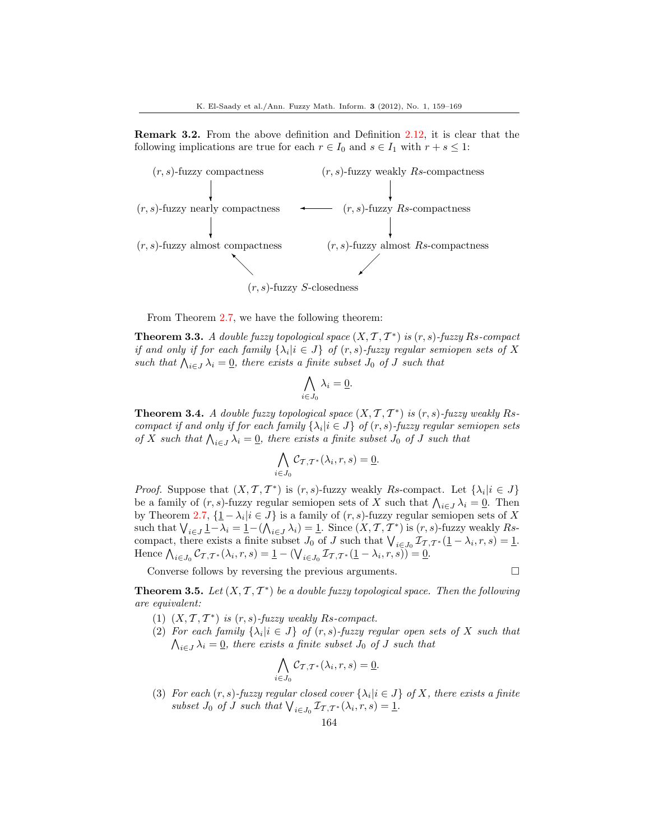Remark 3.2. From the above definition and Definition [2.12,](#page-4-0) it is clear that the following implications are true for each  $r \in I_0$  and  $s \in I_1$  with  $r + s \leq 1$ :



From Theorem [2.7,](#page-2-0) we have the following theorem:

<span id="page-5-0"></span>**Theorem 3.3.** A double fuzzy topological space  $(X, \mathcal{T}, \mathcal{T}^*)$  is  $(r, s)$ -fuzzy Rs-compact if and only if for each family  $\{\lambda_i | i \in J\}$  of  $(r, s)$ -fuzzy regular semiopen sets of X such that  $\bigwedge_{i\in J}\lambda_i=\underline{0}$ , there exists a finite subset  $J_0$  of  $J$  such that

$$
\bigwedge_{i\in J_0}\lambda_i=\underline{0}.
$$

**Theorem 3.4.** A double fuzzy topological space  $(X, \mathcal{T}, \mathcal{T}^*)$  is  $(r, s)$ -fuzzy weakly Rscompact if and only if for each family  $\{\lambda_i | i \in J\}$  of  $(r, s)$ -fuzzy regular semiopen sets of X such that  $\bigwedge_{i\in J}\lambda_i=\underline{0}$ , there exists a finite subset  $J_0$  of J such that

$$
\bigwedge_{i\in J_0} \mathcal{C}_{\mathcal{T},\mathcal{T}^*}(\lambda_i,r,s) = \underline{0}.
$$

*Proof.* Suppose that  $(X, \mathcal{T}, \mathcal{T}^*)$  is  $(r, s)$ -fuzzy weakly Rs-compact. Let  $\{\lambda_i | i \in J\}$ be a family of  $(r, s)$ -fuzzy regular semiopen sets of X such that  $\bigwedge_{i \in J} \lambda_i = \underline{0}$ . Then by Theorem [2.7,](#page-2-0)  $\{1 - \lambda_i | i \in J\}$  is a family of  $(r, s)$ -fuzzy regular semiopen sets of X such that  $\bigvee_{i \in J} \underline{1} - \lambda_i = \underline{1} - (\bigwedge_{i \in J} \lambda_i) = \underline{1}$ . Since  $(X, \mathcal{T}, \mathcal{T}^*)$  is  $(r, s)$ -fuzzy weakly Rscompact, there exists a finite subset  $J_0$  of  $J$  such that  $\bigvee_{i\in J_0}\mathcal{I}_{\mathcal{T},\mathcal{T}}*(1-\lambda_i,r,s)=1$ . Hence  $\bigwedge_{i \in J_0} C_{\mathcal{T}, \mathcal{T}^*}(\lambda_i, r, s) = \underline{1} - (\bigvee_{i \in J_0} \mathcal{I}_{\mathcal{T}, \mathcal{T}^*}(\underline{1} - \lambda_i, r, s)) = \underline{0}.$ 

Converse follows by reversing the previous arguments.

$$
\sqcup
$$

**Theorem 3.5.** Let  $(X, \mathcal{T}, \mathcal{T}^*)$  be a double fuzzy topological space. Then the following are equivalent:

- (1)  $(X, \mathcal{T}, \mathcal{T}^*)$  is  $(r, s)$ -fuzzy weakly Rs-compact.
- (2) For each family  $\{\lambda_i | i \in J\}$  of  $(r, s)$ -fuzzy regular open sets of X such that  $\bigwedge_{i\in J}\lambda_i=\underline{0}$ , there exists a finite subset  $J_0$  of  $J$  such that

$$
\bigwedge_{i \in J_0} \mathcal{C}_{\mathcal{T}, \mathcal{T}^*}(\lambda_i, r, s) = \underline{0}.
$$

(3) For each  $(r, s)$ -fuzzy regular closed cover  $\{\lambda_i | i \in J\}$  of X, there exists a finite subset  $J_0$  of  $J$  such that  $\bigvee_{i \in J_0} \mathcal{I}_{\mathcal{T},\mathcal{T}}^*(\lambda_i,r,s) = \underline{1}.$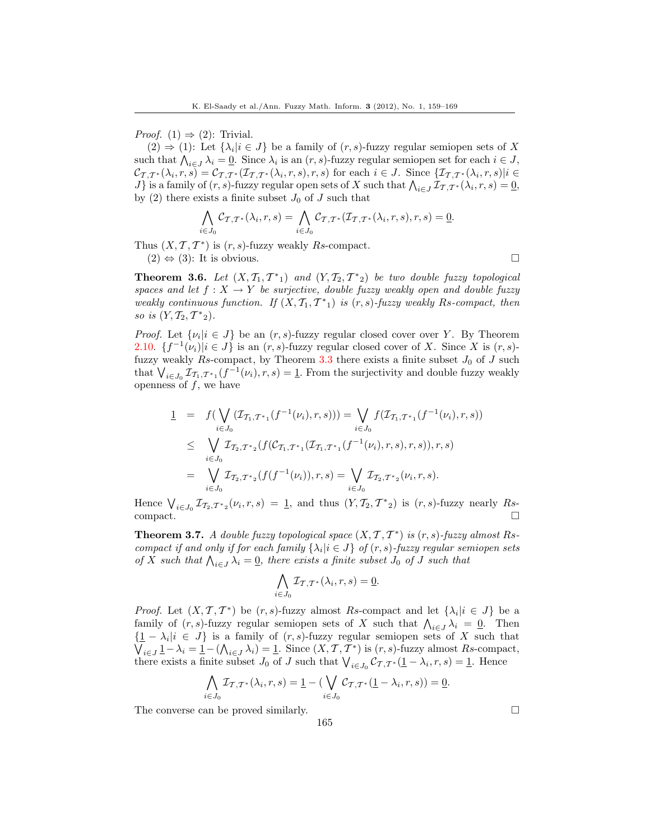*Proof.* (1)  $\Rightarrow$  (2): Trivial.

 $(2) \Rightarrow (1)$ : Let  $\{\lambda_i | i \in J\}$  be a family of  $(r, s)$ -fuzzy regular semiopen sets of X such that  $\bigwedge_{i\in J}\lambda_i=\underline{0}$ . Since  $\lambda_i$  is an  $(r, s)$ -fuzzy regular semiopen set for each  $i\in J$ ,  $\mathcal{C}_{\mathcal{T},\mathcal{T}^*}(\lambda_i,r,s)=\mathcal{C}_{\mathcal{T},\mathcal{T}^*}(\mathcal{I}_{\mathcal{T},\mathcal{T}^*}(\lambda_i,r,s),r,s)$  for each  $i\in J$ . Since  $\{\mathcal{I}_{\mathcal{T},\mathcal{T}^*}(\lambda_i,r,s)|i\in J\}$ J} is a family of  $(r, s)$ -fuzzy regular open sets of X such that  $\bigwedge_{i \in J} \mathcal{I}_{T, T^*}(\lambda_i, r, s) = \underline{0},$ by (2) there exists a finite subset  $J_0$  of  $J$  such that

$$
\bigwedge_{i \in J_0} C_{\mathcal{T}, \mathcal{T}^*}(\lambda_i, r, s) = \bigwedge_{i \in J_0} C_{\mathcal{T}, \mathcal{T}^*}(\mathcal{I}_{\mathcal{T}, \mathcal{T}^*}(\lambda_i, r, s), r, s) = \underline{0}.
$$

Thus  $(X, \mathcal{T}, \mathcal{T}^*)$  is  $(r, s)$ -fuzzy weakly Rs-compact.  $(2) \Leftrightarrow (3)$ : It is obvious.

**Theorem 3.6.** Let  $(X, \mathcal{T}_1, \mathcal{T}^*_{1})$  and  $(Y, \mathcal{T}_2, \mathcal{T}^*_{2})$  be two double fuzzy topological spaces and let  $f: X \to Y$  be surjective, double fuzzy weakly open and double fuzzy weakly continuous function. If  $(X, \mathcal{T}_1, \mathcal{T}^*_{1})$  is  $(r, s)$ -fuzzy weakly Rs-compact, then so is  $(Y, T_2, T^*_{2}).$ 

*Proof.* Let  $\{\nu_i | i \in J\}$  be an  $(r, s)$ -fuzzy regular closed cover over Y. By Theorem [2.10.](#page-3-0)  $\{f^{-1}(\nu_i)|i\in J\}$  is an  $(r, s)$ -fuzzy regular closed cover of X. Since X is  $(r, s)$ -fuzzy weakly Rs-compact, by Theorem [3.3](#page-5-0) there exists a finite subset  $J_0$  of J such that  $\bigvee_{i\in J_0}\mathcal{I}_{T_1,T^*1}(f^{-1}(\nu_i),r,s)=\underline{1}$ . From the surjectivity and double fuzzy weakly openness of  $f$ , we have

$$
\underline{1} = f(\bigvee_{i \in J_0} (\mathcal{I}_{\mathcal{T}_1, \mathcal{T}^*1}(f^{-1}(\nu_i), r, s))) = \bigvee_{i \in J_0} f(\mathcal{I}_{\mathcal{T}_1, \mathcal{T}^*1}(f^{-1}(\nu_i), r, s))
$$
\n
$$
\leq \bigvee_{i \in J_0} \mathcal{I}_{\mathcal{T}_2, \mathcal{T}^*2}(f(\mathcal{C}_{\mathcal{T}_1, \mathcal{T}^*1}(\mathcal{I}_{\mathcal{T}_1, \mathcal{T}^*1}(f^{-1}(\nu_i), r, s), r, s)), r, s)
$$
\n
$$
= \bigvee_{i \in J_0} \mathcal{I}_{\mathcal{T}_2, \mathcal{T}^*2}(f(f^{-1}(\nu_i)), r, s) = \bigvee_{i \in J_0} \mathcal{I}_{\mathcal{T}_2, \mathcal{T}^*2}(\nu_i, r, s).
$$

Hence  $\bigvee_{i\in J_0}\mathcal{I}_{\mathcal{I}_2,\mathcal{T}^*_{2}}(\nu_i,r,s) = \underline{1}$ , and thus  $(Y,\mathcal{I}_2,\mathcal{T}^*_{2})$  is  $(r,s)$ -fuzzy nearly Rs $compact.$ 

**Theorem 3.7.** A double fuzzy topological space  $(X, \mathcal{T}, \mathcal{T}^*)$  is  $(r, s)$ -fuzzy almost Rscompact if and only if for each family  $\{\lambda_i | i \in J\}$  of  $(r, s)$ -fuzzy regular semiopen sets of X such that  $\bigwedge_{i\in J}\lambda_i=0$ , there exists a finite subset  $J_0$  of J such that

$$
\bigwedge_{i \in J_0} \mathcal{I}_{\mathcal{T}, \mathcal{T}^*}(\lambda_i, r, s) = \underline{0}.
$$

*Proof.* Let  $(X, \mathcal{T}, \mathcal{T}^*)$  be  $(r, s)$ -fuzzy almost Rs-compact and let  $\{\lambda_i | i \in J\}$  be a family of  $(r, s)$ -fuzzy regular semiopen sets of X such that  $\bigwedge_{i \in J} \lambda_i = 0$ . Then  $\{\underline{1} - \lambda_i | i \in J\}$  is a family of  $(r, s)$ -fuzzy regular semiopen sets of X such that  $\bigvee_{i\in J}\underline{1}-\lambda_i=\underline{1}-(\bigwedge_{i\in J}\lambda_i)=\underline{1}.$  Since  $(X,\mathcal{T},\mathcal{T}^*)$  is  $(r,s)$ -fuzzy almost Rs-compact, there exists a finite subset  $J_0$  of  $J$  such that  $\bigvee_{i\in J_0} C_{\mathcal{T},\mathcal{T}}*(\underline{1}-\lambda_i,r,s)=\underline{1}$ . Hence

$$
\bigwedge_{i\in J_0} \mathcal{I}_{\mathcal{T},\mathcal{T}^*}(\lambda_i,r,s) = \underline{1} - \left( \bigvee_{i\in J_0} \mathcal{C}_{\mathcal{T},\mathcal{T}^*}(\underline{1} - \lambda_i,r,s)\right) = \underline{0}.
$$

165

The converse can be proved similarly.  $\Box$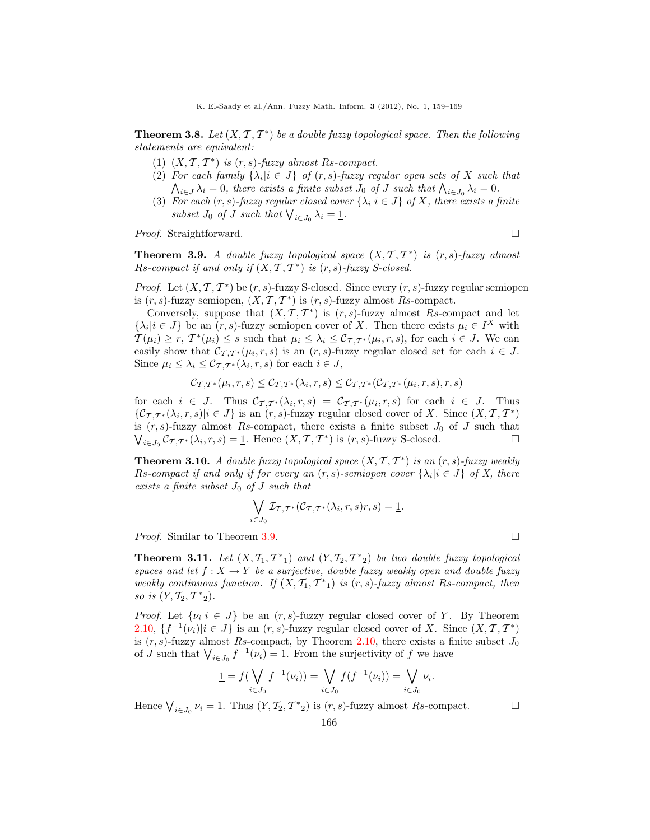**Theorem 3.8.** Let  $(X, \mathcal{T}, \mathcal{T}^*)$  be a double fuzzy topological space. Then the following statements are equivalent:

- (1)  $(X, \mathcal{T}, \mathcal{T}^*)$  is  $(r, s)$ -fuzzy almost Rs-compact.
- (2) For each family  $\{\lambda_i | i \in J\}$  of  $(r, s)$ -fuzzy regular open sets of X such that  $\bigwedge_{i\in J}\lambda_i=\underline{0}$ , there exists a finite subset  $J_0$  of  $J$  such that  $\bigwedge_{i\in J_0}\lambda_i=\underline{0}$ .
- (3) For each  $(r, s)$ -fuzzy regular closed cover  $\{\lambda_i | i \in J\}$  of X, there exists a finite subset  $J_0$  of  $J$  such that  $\bigvee_{i \in J_0} \lambda_i = \underline{1}$ .

*Proof.* Straightforward. □

<span id="page-7-0"></span>**Theorem 3.9.** A double fuzzy topological space  $(X, \mathcal{T}, \mathcal{T}^*)$  is  $(r, s)$ -fuzzy almost  $Rs\text{-}compact$  if and only if  $(X, \mathcal{T}, \mathcal{T}^*)$  is  $(r, s)\text{-}fuzzy S\text{-}closed.$ 

*Proof.* Let  $(X, \mathcal{T}, \mathcal{T}^*)$  be  $(r, s)$ -fuzzy S-closed. Since every  $(r, s)$ -fuzzy regular semiopen is  $(r, s)$ -fuzzy semiopen,  $(X, \mathcal{T}, \mathcal{T}^*)$  is  $(r, s)$ -fuzzy almost Rs-compact.

Conversely, suppose that  $(X, \mathcal{T}, \mathcal{T}^*)$  is  $(r, s)$ -fuzzy almost Rs-compact and let  $\{\lambda_i | i \in J\}$  be an  $(r, s)$ -fuzzy semiopen cover of X. Then there exists  $\mu_i \in I^X$  with  $T(\mu_i) \geq r$ ,  $T^*(\mu_i) \leq s$  such that  $\mu_i \leq \lambda_i \leq C_{\mathcal{I},\mathcal{T}^*}(\mu_i,r,s)$ , for each  $i \in J$ . We can easily show that  $\mathcal{C}_{\mathcal{T},\mathcal{T}}*(\mu_i,r,s)$  is an  $(r,s)$ -fuzzy regular closed set for each  $i \in J$ . Since  $\mu_i \leq \lambda_i \leq \mathcal{C}_{\mathcal{T},\mathcal{T}^*}(\lambda_i,r,s)$  for each  $i \in J$ ,

$$
\mathcal{C}_{\mathcal{T},\mathcal{T}^*}(\mu_i,r,s) \leq \mathcal{C}_{\mathcal{T},\mathcal{T}^*}(\lambda_i,r,s) \leq \mathcal{C}_{\mathcal{T},\mathcal{T}^*}(\mathcal{C}_{\mathcal{T},\mathcal{T}^*}(\mu_i,r,s),r,s)
$$

for each  $i \in J$ . Thus  $\mathcal{C}_{\mathcal{T},\mathcal{T}^*}(\lambda_i,r,s) = \mathcal{C}_{\mathcal{T},\mathcal{T}^*}(\mu_i,r,s)$  for each  $i \in J$ . Thus  $\{\mathcal{C}_{\mathcal{T},\mathcal{T}^*}(\lambda_i,r,s)|i\in J\}$  is an  $(r,s)$ -fuzzy regular closed cover of X. Since  $(X,\mathcal{T},\mathcal{T}^*)$ is  $(r, s)$ -fuzzy almost Rs-compact, there exists a finite subset  $J_0$  of J such that  $\bigvee_{i\in J_0}\mathcal{C}_{\mathcal{T},\mathcal{T}^*}(\lambda_i,r,s)=\underline{1}$ . Hence  $(X,\mathcal{T},\mathcal{T}^*)$  is  $(r,s)$ -fuzzy S-closed.

**Theorem 3.10.** A double fuzzy topological space  $(X, \mathcal{T}, \mathcal{T}^*)$  is an  $(r, s)$ -fuzzy weakly Rs-compact if and only if for every an  $(r, s)$ -semiopen cover  $\{\lambda_i | i \in J\}$  of X, there exists a finite subset  $J_0$  of  $J$  such that

$$
\bigvee_{i \in J_0} \mathcal{I}_{\mathcal{T}, \mathcal{T}^*}(\mathcal{C}_{\mathcal{T}, \mathcal{T}^*}(\lambda_i, r, s) r, s) = \underline{1}.
$$

*Proof.* Similar to Theorem [3.9.](#page-7-0) □

**Theorem 3.11.** Let  $(X, \mathcal{T}_1, \mathcal{T}^*_{1})$  and  $(Y, \mathcal{T}_2, \mathcal{T}^*_{2})$  ba two double fuzzy topological spaces and let  $f: X \to Y$  be a surjective, double fuzzy weakly open and double fuzzy weakly continuous function. If  $(X, \mathcal{T}_1, \mathcal{T}^*_{1})$  is  $(r, s)$ -fuzzy almost Rs-compact, then so is  $(Y, T_2, T^*_{2}).$ 

*Proof.* Let  $\{\nu_i | i \in J\}$  be an  $(r, s)$ -fuzzy regular closed cover of Y. By Theorem [2.10,](#page-3-0)  $\{f^{-1}(\nu_i)|i\in J\}$  is an  $(r, s)$ -fuzzy regular closed cover of X. Since  $(X, \mathcal{T}, \mathcal{T}^*)$ is  $(r, s)$ -fuzzy almost Rs-compact, by Theorem [2.10,](#page-3-0) there exists a finite subset  $J_0$ of J such that  $\bigvee_{i\in J_0} f^{-1}(\nu_i) = 1$ . From the surjectivity of f we have

$$
\underline{1} = f(\bigvee_{i \in J_0} f^{-1}(\nu_i)) = \bigvee_{i \in J_0} f(f^{-1}(\nu_i)) = \bigvee_{i \in J_0} \nu_i.
$$

Hence  $\bigvee_{i \in J_0} \nu_i = \underline{1}$ . Thus  $(Y, \mathcal{T}_2, \mathcal{T}^*_{2})$  is  $(r, s)$ -fuzzy almost  $Rs$ -compact.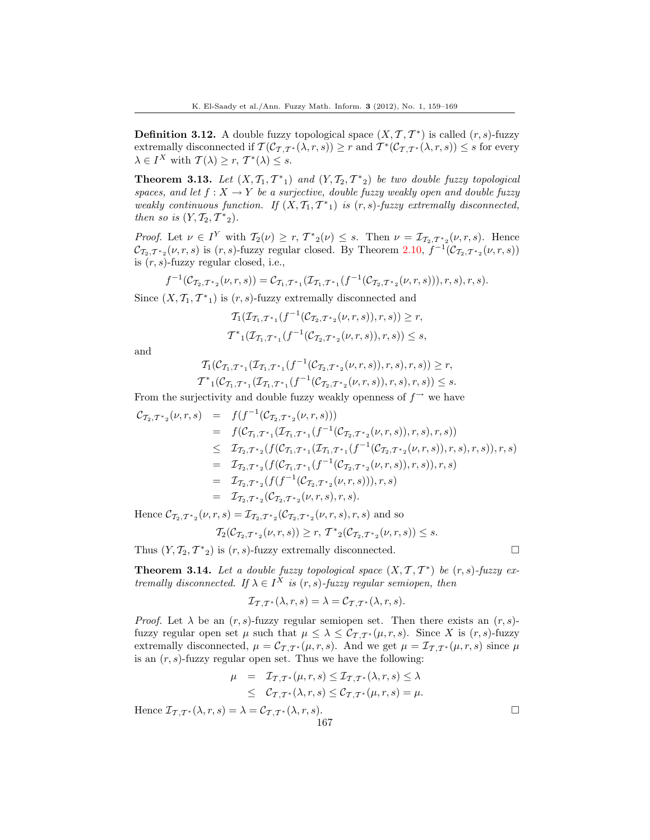**Definition 3.12.** A double fuzzy topological space  $(X, \mathcal{T}, \mathcal{T}^*)$  is called  $(r, s)$ -fuzzy extremally disconnected if  $\mathcal{T}(\mathcal{C}_{\mathcal{T},\mathcal{T}^*}(\lambda,r,s)) \geq r$  and  $\mathcal{T}^*(\mathcal{C}_{\mathcal{T},\mathcal{T}^*}(\lambda,r,s)) \leq s$  for every  $\lambda \in I^X$  with  $\mathcal{T}(\lambda) \geq r, \mathcal{T}^*(\lambda) \leq s.$ 

**Theorem 3.13.** Let  $(X, \mathcal{T}_1, \mathcal{T}^*_{1})$  and  $(Y, \mathcal{T}_2, \mathcal{T}^*_{2})$  be two double fuzzy topological spaces, and let  $f: X \to Y$  be a surjective, double fuzzy weakly open and double fuzzy weakly continuous function. If  $(X, \mathcal{T}_1, \mathcal{T}^*_{1})$  is  $(r, s)$ -fuzzy extremally disconnected, then so is  $(Y, \mathcal{T}_2, \mathcal{T}^*_{2}).$ 

*Proof.* Let  $\nu \in I^Y$  with  $\mathcal{T}_2(\nu) \ge r$ ,  $\mathcal{T}^*_{2}(\nu) \le s$ . Then  $\nu = \mathcal{I}_{\mathcal{T}_2,\mathcal{T}^*_{2}}(\nu,r,s)$ . Hence  $\mathcal{C}_{\mathcal{T}_2,\mathcal{T}^*_{2}}(\nu,r,s)$  is  $(r,s)$ -fuzzy regular closed. By Theorem [2.10,](#page-3-0)  $f^{-1}(\mathcal{C}_{\mathcal{T}_2,\mathcal{T}^*_{2}}(\nu,r,s))$ is  $(r, s)$ -fuzzy regular closed, i.e.,

$$
f^{-1}(\mathcal{C}_{\mathcal{T}_2,\mathcal{T}^*2}(\nu,r,s)) = \mathcal{C}_{\mathcal{T}_1,\mathcal{T}^*1}(\mathcal{T}_{\mathcal{T}_1,\mathcal{T}^*1}(f^{-1}(\mathcal{C}_{\mathcal{T}_2,\mathcal{T}^*2}(\nu,r,s))), r, s), r, s).
$$

Since  $(X, \mathcal{T}_1, \mathcal{T}^*_{1})$  is  $(r, s)$ -fuzzy extremally disconnected and

$$
T_1(\mathcal{I}_{\mathcal{T}_1,\mathcal{T}^*1}(f^{-1}(\mathcal{C}_{\mathcal{T}_2,\mathcal{T}^*2}(\nu,r,s)),r,s)) \ge r,
$$
  

$$
\mathcal{T}^*_{1}(\mathcal{I}_{\mathcal{T}_1,\mathcal{T}^*1}(f^{-1}(\mathcal{C}_{\mathcal{T}_2,\mathcal{T}^*2}(\nu,r,s)),r,s)) \le s,
$$

and

$$
T_1(C_{T_1,T^*}(\mathcal{I}_{T_1,T^*} (f^{-1}(C_{T_2,T^*}(\nu,r,s)),r,s),r,s)) \geq r,
$$
  

$$
T^*_{1}(C_{T_1,T^*}(\mathcal{I}_{T_1,T^*} (f^{-1}(C_{T_2,T^*}(\nu,r,s)),r,s),r,s)) \leq s.
$$

From the surjectivity and double fuzzy weakly openness of  $f^{\rightarrow}$  we have

$$
C_{\mathcal{T}_2,\mathcal{T}^*2}(\nu,r,s) = f(f^{-1}(C_{\mathcal{T}_2,\mathcal{T}^*2}(\nu,r,s)))
$$
  
\n
$$
= f(C_{\mathcal{T}_1,\mathcal{T}^*1}(\mathcal{T}_{\mathcal{T}_1,\mathcal{T}^*1}(f^{-1}(C_{\mathcal{T}_2,\mathcal{T}^*2}(\nu,r,s)),r,s),r,s))
$$
  
\n
$$
\leq \mathcal{T}_{\mathcal{T}_2,\mathcal{T}^*2}(f(C_{\mathcal{T}_1,\mathcal{T}^*1}(\mathcal{T}_{\mathcal{T}_1,\mathcal{T}^*1}(f^{-1}(C_{\mathcal{T}_2,\mathcal{T}^*2}(\nu,r,s)),r,s),r,s)),r,s)
$$
  
\n
$$
= \mathcal{T}_{\mathcal{T}_2,\mathcal{T}^*2}(f(C_{\mathcal{T}_1,\mathcal{T}^*1}(f^{-1}(C_{\mathcal{T}_2,\mathcal{T}^*2}(\nu,r,s)),r,s)),r,s)
$$
  
\n
$$
= \mathcal{T}_{\mathcal{T}_2,\mathcal{T}^*2}(f(f^{-1}(C_{\mathcal{T}_2,\mathcal{T}^*2}(\nu,r,s)),r,s))
$$
  
\n
$$
= \mathcal{T}_{\mathcal{T}_2,\mathcal{T}^*2}(C_{\mathcal{T}_2,\mathcal{T}^*2}(\nu,r,s),r,s).
$$

Hence  $\mathcal{C}_{\mathcal{T}_2,\mathcal{T}^*_{2}}(\nu,r,s) = \mathcal{I}_{\mathcal{T}_2,\mathcal{T}^*_{2}}(\mathcal{C}_{\mathcal{T}_2,\mathcal{T}^*_{2}}(\nu,r,s),r,s)$  and so

$$
\mathcal{T}_2(\mathcal{C}_{\mathcal{T}_2,\mathcal{T}^*_{2}}(\nu,r,s))\geq r,\,\mathcal{T}^*_{2}(\mathcal{C}_{\mathcal{T}_2,\mathcal{T}^*_{2}}(\nu,r,s))\leq s.
$$

Thus  $(Y, \mathcal{T}_2, \mathcal{T}^*_{2})$  is  $(r, s)$ -fuzzy extremally disconnected.

**Theorem 3.14.** Let a double fuzzy topological space  $(X, \mathcal{T}, \mathcal{T}^*)$  be  $(r, s)$ -fuzzy extremally disconnected. If  $\lambda \in I^X$  is  $(r, s)$ -fuzzy regular semiopen, then

$$
\mathcal{I}_{\mathcal{T},\mathcal{T}^*}(\lambda,r,s) = \lambda = \mathcal{C}_{\mathcal{T},\mathcal{T}^*}(\lambda,r,s).
$$

*Proof.* Let  $\lambda$  be an  $(r, s)$ -fuzzy regular semiopen set. Then there exists an  $(r, s)$ fuzzy regular open set  $\mu$  such that  $\mu \leq \lambda \leq C_{\mathcal{T},\mathcal{T}}(\mu,r,s)$ . Since X is  $(r,s)$ -fuzzy extremally disconnected,  $\mu = \mathcal{C}_{\mathcal{T},\mathcal{T}}*(\mu,r,s)$ . And we get  $\mu = \mathcal{I}_{\mathcal{T},\mathcal{T}}*(\mu,r,s)$  since  $\mu$ is an  $(r, s)$ -fuzzy regular open set. Thus we have the following:

$$
\mu = \mathcal{I}_{\mathcal{T},\mathcal{T}^*}(\mu,r,s) \leq \mathcal{I}_{\mathcal{T},\mathcal{T}^*}(\lambda,r,s) \leq \lambda
$$
  

$$
\leq \mathcal{C}_{\mathcal{T},\mathcal{T}^*}(\lambda,r,s) \leq \mathcal{C}_{\mathcal{T},\mathcal{T}^*}(\mu,r,s) = \mu.
$$

Hence  $\mathcal{I}_{\mathcal{I},\mathcal{T}^*}(\lambda,r,s) = \lambda = \mathcal{C}_{\mathcal{I},\mathcal{T}^*}(\lambda,r,s).$ 

$$
167\,
$$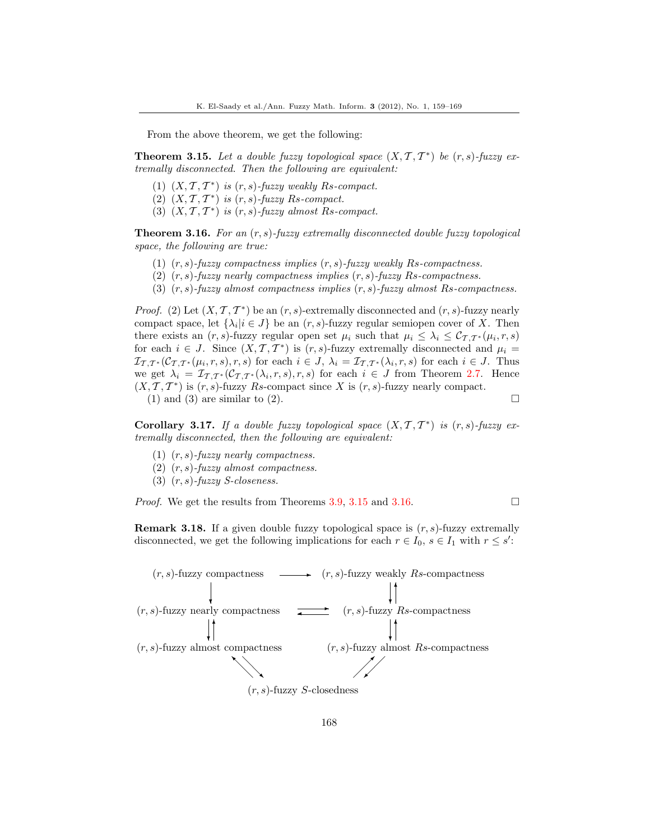From the above theorem, we get the following:

<span id="page-9-0"></span>**Theorem 3.15.** Let a double fuzzy topological space  $(X, \mathcal{T}, \mathcal{T}^*)$  be  $(r, s)$ -fuzzy extremally disconnected. Then the following are equivalent:

- (1)  $(X, \mathcal{T}, \mathcal{T}^*)$  is  $(r, s)$ -fuzzy weakly Rs-compact.
- (2)  $(X, \mathcal{T}, \mathcal{T}^*)$  is  $(r, s)$ -fuzzy Rs-compact.
- (3)  $(X, \mathcal{T}, \mathcal{T}^*)$  is  $(r, s)$ -fuzzy almost Rs-compact.

<span id="page-9-1"></span>**Theorem 3.16.** For an  $(r, s)$ -fuzzy extremally disconnected double fuzzy topological space, the following are true:

- (1)  $(r, s)$ -fuzzy compactness implies  $(r, s)$ -fuzzy weakly Rs-compactness.
- (2)  $(r, s)$ -fuzzy nearly compactness implies  $(r, s)$ -fuzzy Rs-compactness.
- (3)  $(r, s)$ -fuzzy almost compactness implies  $(r, s)$ -fuzzy almost Rs-compactness.

*Proof.* (2) Let  $(X, \mathcal{T}, \mathcal{T}^*)$  be an  $(r, s)$ -extremally disconnected and  $(r, s)$ -fuzzy nearly compact space, let  $\{\lambda_i | i \in J\}$  be an  $(r, s)$ -fuzzy regular semiopen cover of X. Then there exists an  $(r, s)$ -fuzzy regular open set  $\mu_i$  such that  $\mu_i \leq \lambda_i \leq C_{\mathcal{T}, \mathcal{T}^*}(\mu_i, r, s)$ for each  $i \in J$ . Since  $(X, \mathcal{T}, \mathcal{T}^*)$  is  $(r, s)$ -fuzzy extremally disconnected and  $\mu_i =$  $\mathcal{I}_{\mathcal{T},\mathcal{T}}^{\ast}(\mathcal{C}_{\mathcal{T},\mathcal{T}}^{\ast}(\mu_i,r,s),r,s)$  for each  $i \in J$ ,  $\lambda_i = \mathcal{I}_{\mathcal{T},\mathcal{T}}^{\ast}(\lambda_i,r,s)$  for each  $i \in J$ . Thus we get  $\lambda_i = \mathcal{I}_{\mathcal{T},\mathcal{T}^*}(\mathcal{C}_{\mathcal{T},\mathcal{T}^*}(\lambda_i,r,s),r,s)$  for each  $i \in J$  from Theorem [2.7.](#page-2-0) Hence  $(X, \mathcal{T}, \mathcal{T}^*)$  is  $(r, s)$ -fuzzy Rs-compact since X is  $(r, s)$ -fuzzy nearly compact. (1) and (3) are similar to (2).

Corollary 3.17. If a double fuzzy topological space  $(X, \mathcal{T}, \mathcal{T}^*)$  is  $(r, s)$ -fuzzy extremally disconnected, then the following are equivalent:

- (1)  $(r, s)$ -fuzzy nearly compactness.
- (2)  $(r, s)$ -fuzzy almost compactness.
- (3)  $(r, s)$ -fuzzy *S*-closeness.

*Proof.* We get the results from Theorems [3.9,](#page-7-0) [3.15](#page-9-0) and [3.16.](#page-9-1)  $\Box$ 

**Remark 3.18.** If a given double fuzzy topological space is  $(r, s)$ -fuzzy extremally disconnected, we get the following implications for each  $r \in I_0$ ,  $s \in I_1$  with  $r \leq s'$ :